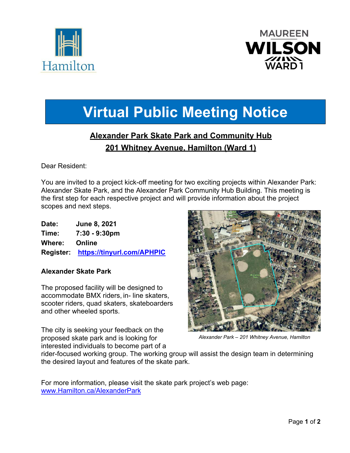



# **Virtual Public Meeting Notice**

# **Alexander Park Skate Park and Community Hub 201 Whitney Avenue, Hamilton (Ward 1)**

Dear Resident:

You are invited to a project kick-off meeting for two exciting projects within Alexander Park: Alexander Skate Park, and the Alexander Park Community Hub Building. This meeting is the first step for each respective project and will provide information about the project scopes and next steps.

| Date:  | June 8, 2021                         |
|--------|--------------------------------------|
| Time:  | $7:30 - 9:30 \text{pm}$              |
| Where: | Online                               |
|        | Register: https://tinyurl.com/APHPIC |

# **Alexander Skate Park**

The proposed facility will be designed to accommodate BMX riders, in- line skaters, scooter riders, quad skaters, skateboarders and other wheeled sports.

The city is seeking your feedback on the proposed skate park and is looking for interested individuals to become part of a



*Alexander Park – 201 Whitney Avenue, Hamilton* 

rider-focused working group. The working group will assist the design team in determining the desired layout and features of the skate park.

For more information, please visit the skate park project's web page: www.Hamilton.ca/AlexanderPark